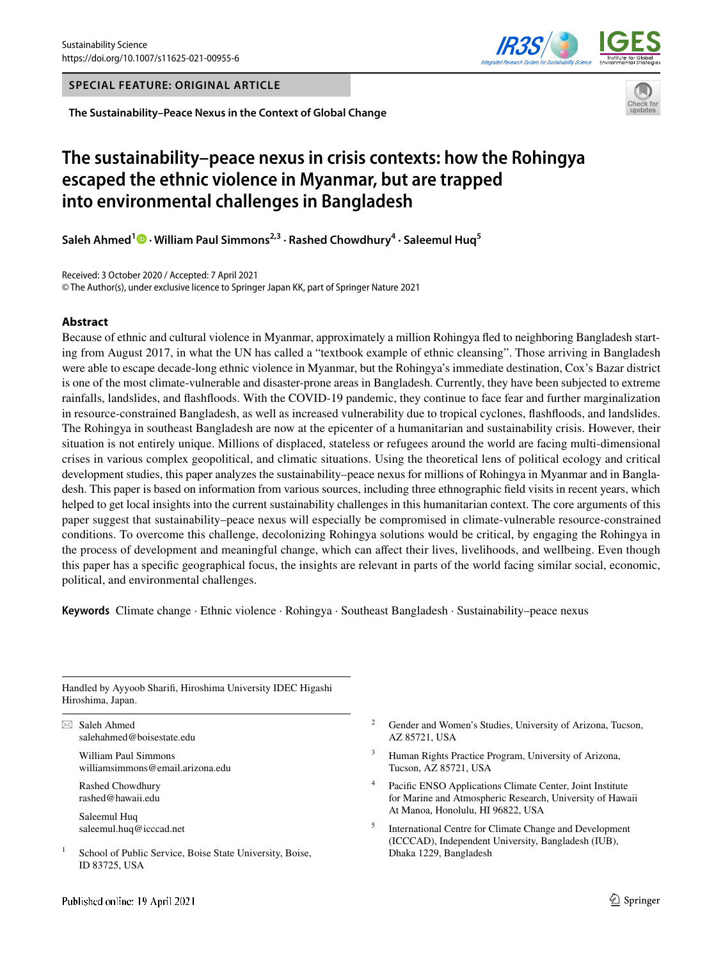**SPECIAL FEATURE: ORIGINAL ARTICLE**

**The Sustainability–Peace Nexus in the Context of Global Change**

# **The sustainability–peace nexus in crisis contexts: how the Rohingya escaped the ethnic violence in Myanmar, but are trapped into environmental challenges in Bangladesh**

**Saleh Ahmed<sup>1</sup>  [·](http://orcid.org/0000-0002-5064-1389) William Paul Simmons2,3 · Rashed Chowdhury4 · Saleemul Huq5**

Received: 3 October 2020 / Accepted: 7 April 2021 © The Author(s), under exclusive licence to Springer Japan KK, part of Springer Nature 2021

#### **Abstract**

Because of ethnic and cultural violence in Myanmar, approximately a million Rohingya fed to neighboring Bangladesh starting from August 2017, in what the UN has called a "textbook example of ethnic cleansing". Those arriving in Bangladesh were able to escape decade-long ethnic violence in Myanmar, but the Rohingya's immediate destination, Cox's Bazar district is one of the most climate-vulnerable and disaster-prone areas in Bangladesh. Currently, they have been subjected to extreme rainfalls, landslides, and fashfoods. With the COVID-19 pandemic, they continue to face fear and further marginalization in resource-constrained Bangladesh, as well as increased vulnerability due to tropical cyclones, fashfoods, and landslides. The Rohingya in southeast Bangladesh are now at the epicenter of a humanitarian and sustainability crisis. However, their situation is not entirely unique. Millions of displaced, stateless or refugees around the world are facing multi-dimensional crises in various complex geopolitical, and climatic situations. Using the theoretical lens of political ecology and critical development studies, this paper analyzes the sustainability–peace nexus for millions of Rohingya in Myanmar and in Bangladesh. This paper is based on information from various sources, including three ethnographic feld visits in recent years, which helped to get local insights into the current sustainability challenges in this humanitarian context. The core arguments of this paper suggest that sustainability–peace nexus will especially be compromised in climate-vulnerable resource-constrained conditions. To overcome this challenge, decolonizing Rohingya solutions would be critical, by engaging the Rohingya in the process of development and meaningful change, which can afect their lives, livelihoods, and wellbeing. Even though this paper has a specifc geographical focus, the insights are relevant in parts of the world facing similar social, economic, political, and environmental challenges.

**Keywords** Climate change · Ethnic violence · Rohingya · Southeast Bangladesh · Sustainability–peace nexus

Handled by Ayyoob Sharif, Hiroshima University IDEC Higashi Hiroshima, Japan.

 $\boxtimes$  Saleh Ahmed salehahmed@boisestate.edu

> William Paul Simmons williamsimmons@email.arizona.edu

Rashed Chowdhury rashed@hawaii.edu

Saleemul Huq saleemul.huq@icccad.net

 $1$  School of Public Service, Boise State University, Boise, ID 83725, USA

- <sup>2</sup> Gender and Women's Studies, University of Arizona, Tucson, AZ 85721, USA
- Human Rights Practice Program, University of Arizona, Tucson, AZ 85721, USA
- Pacific ENSO Applications Climate Center, Joint Institute for Marine and Atmospheric Research, University of Hawaii At Manoa, Honolulu, HI 96822, USA
- <sup>5</sup> International Centre for Climate Change and Development (ICCCAD), Independent University, Bangladesh (IUB), Dhaka 1229, Bangladesh



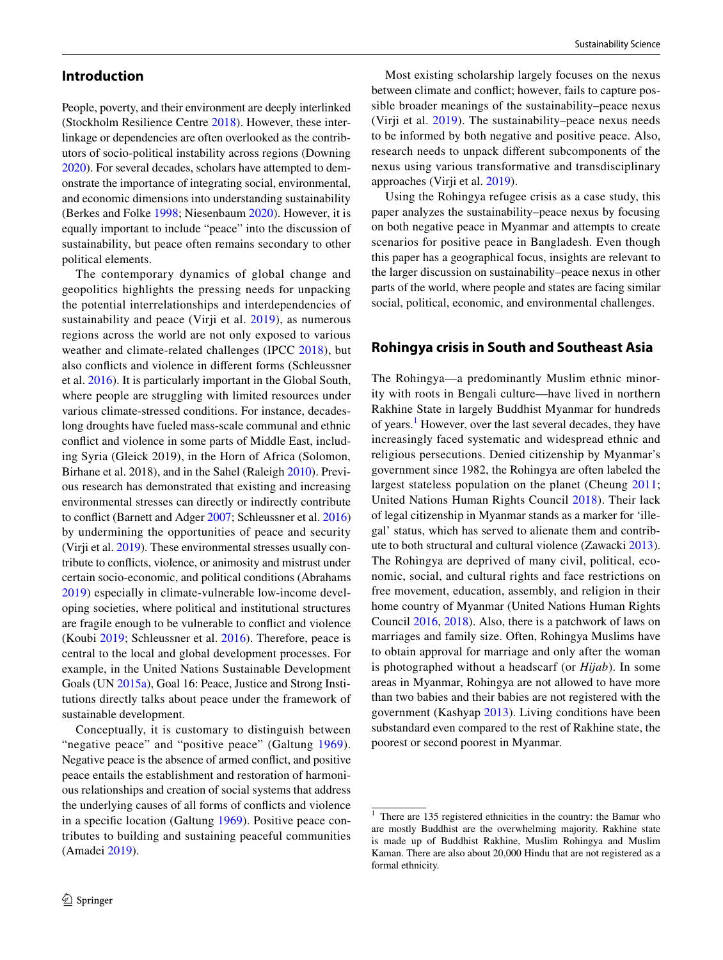People, poverty, and their environment are deeply interlinked (Stockholm Resilience Centre [2018\)](#page-11-0). However, these interlinkage or dependencies are often overlooked as the contributors of socio-political instability across regions (Downing [2020](#page-10-0)). For several decades, scholars have attempted to demonstrate the importance of integrating social, environmental, and economic dimensions into understanding sustainability (Berkes and Folke [1998](#page-10-1); Niesenbaum [2020](#page-11-1)). However, it is equally important to include "peace" into the discussion of sustainability, but peace often remains secondary to other political elements.

The contemporary dynamics of global change and geopolitics highlights the pressing needs for unpacking the potential interrelationships and interdependencies of sustainability and peace (Virji et al. [2019](#page-11-2)), as numerous regions across the world are not only exposed to various weather and climate-related challenges (IPCC [2018\)](#page-10-2), but also conficts and violence in diferent forms (Schleussner et al. [2016\)](#page-11-3). It is particularly important in the Global South, where people are struggling with limited resources under various climate-stressed conditions. For instance, decadeslong droughts have fueled mass-scale communal and ethnic confict and violence in some parts of Middle East, including Syria (Gleick 2019), in the Horn of Africa (Solomon, Birhane et al. 2018), and in the Sahel (Raleigh [2010\)](#page-11-4). Previous research has demonstrated that existing and increasing environmental stresses can directly or indirectly contribute to confict (Barnett and Adger [2007;](#page-10-3) Schleussner et al. [2016\)](#page-11-3) by undermining the opportunities of peace and security (Virji et al. [2019\)](#page-11-2). These environmental stresses usually contribute to conficts, violence, or animosity and mistrust under certain socio-economic, and political conditions (Abrahams [2019\)](#page-10-4) especially in climate-vulnerable low-income developing societies, where political and institutional structures are fragile enough to be vulnerable to confict and violence (Koubi [2019;](#page-10-5) Schleussner et al. [2016\)](#page-11-3). Therefore, peace is central to the local and global development processes. For example, in the United Nations Sustainable Development Goals (UN [2015a\)](#page-11-5), Goal 16: Peace, Justice and Strong Institutions directly talks about peace under the framework of sustainable development.

Conceptually, it is customary to distinguish between "negative peace" and "positive peace" (Galtung [1969](#page-10-6)). Negative peace is the absence of armed confict, and positive peace entails the establishment and restoration of harmonious relationships and creation of social systems that address the underlying causes of all forms of conficts and violence in a specifc location (Galtung [1969\)](#page-10-6). Positive peace contributes to building and sustaining peaceful communities (Amadei [2019\)](#page-10-7).

Most existing scholarship largely focuses on the nexus between climate and confict; however, fails to capture possible broader meanings of the sustainability–peace nexus (Virji et al. [2019](#page-11-2)). The sustainability–peace nexus needs to be informed by both negative and positive peace. Also, research needs to unpack diferent subcomponents of the nexus using various transformative and transdisciplinary approaches (Virji et al. [2019\)](#page-11-2).

Using the Rohingya refugee crisis as a case study, this paper analyzes the sustainability–peace nexus by focusing on both negative peace in Myanmar and attempts to create scenarios for positive peace in Bangladesh. Even though this paper has a geographical focus, insights are relevant to the larger discussion on sustainability–peace nexus in other parts of the world, where people and states are facing similar social, political, economic, and environmental challenges.

#### **Rohingya crisis in South and Southeast Asia**

The Rohingya—a predominantly Muslim ethnic minority with roots in Bengali culture—have lived in northern Rakhine State in largely Buddhist Myanmar for hundreds of years.<sup>[1](#page-1-0)</sup> However, over the last several decades, they have increasingly faced systematic and widespread ethnic and religious persecutions. Denied citizenship by Myanmar's government since 1982, the Rohingya are often labeled the largest stateless population on the planet (Cheung [2011](#page-10-8); United Nations Human Rights Council [2018](#page-11-6)). Their lack of legal citizenship in Myanmar stands as a marker for 'illegal' status, which has served to alienate them and contribute to both structural and cultural violence (Zawacki [2013](#page-12-0)). The Rohingya are deprived of many civil, political, economic, social, and cultural rights and face restrictions on free movement, education, assembly, and religion in their home country of Myanmar (United Nations Human Rights Council [2016,](#page-11-7) [2018](#page-11-6)). Also, there is a patchwork of laws on marriages and family size. Often, Rohingya Muslims have to obtain approval for marriage and only after the woman is photographed without a headscarf (or *Hijab*). In some areas in Myanmar, Rohingya are not allowed to have more than two babies and their babies are not registered with the government (Kashyap [2013](#page-10-9)). Living conditions have been substandard even compared to the rest of Rakhine state, the poorest or second poorest in Myanmar.

<span id="page-1-0"></span> $1$  There are 135 registered ethnicities in the country: the Bamar who are mostly Buddhist are the overwhelming majority. Rakhine state is made up of Buddhist Rakhine, Muslim Rohingya and Muslim Kaman. There are also about 20,000 Hindu that are not registered as a formal ethnicity.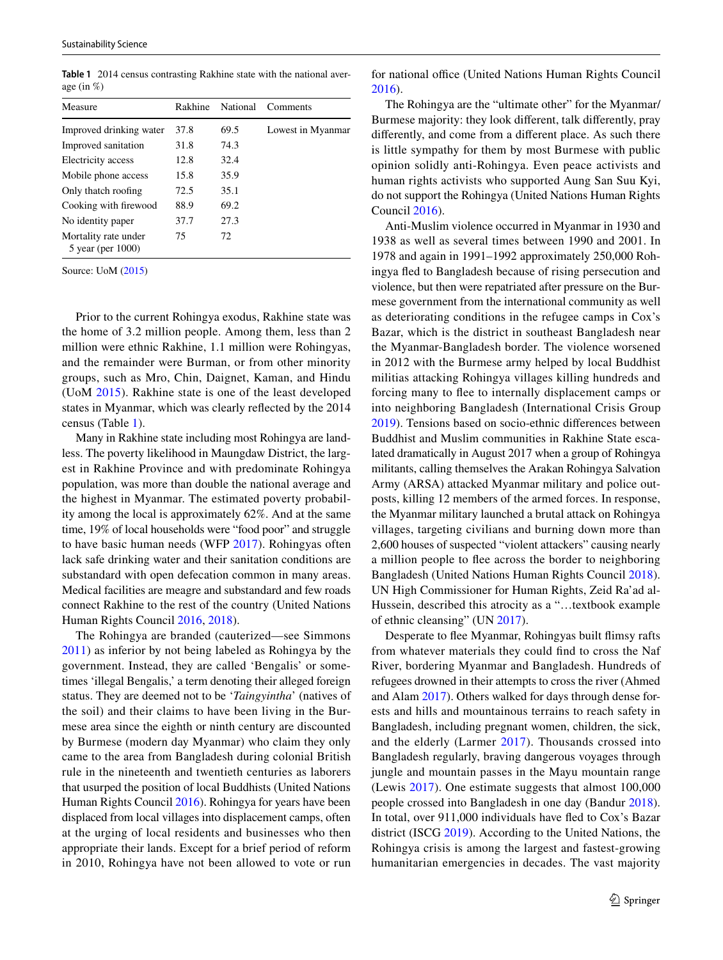<span id="page-2-0"></span>**Table 1** 2014 census contrasting Rakhine state with the national average (in %)

| Measure                                        | Rakhine | National | Comments          |
|------------------------------------------------|---------|----------|-------------------|
| Improved drinking water                        | 37.8    | 69.5     | Lowest in Myanmar |
| Improved sanitation                            | 31.8    | 74.3     |                   |
| Electricity access                             | 12.8    | 32.4     |                   |
| Mobile phone access                            | 15.8    | 35.9     |                   |
| Only thatch roofing                            | 72.5    | 35.1     |                   |
| Cooking with firewood                          | 88.9    | 69.2     |                   |
| No identity paper                              | 37.7    | 27.3     |                   |
| Mortality rate under<br>$5$ year (per $1000$ ) | 75      | 72       |                   |

Source: UoM ([2015\)](#page-11-8)

Prior to the current Rohingya exodus, Rakhine state was the home of 3.2 million people. Among them, less than 2 million were ethnic Rakhine, 1.1 million were Rohingyas, and the remainder were Burman, or from other minority groups, such as Mro, Chin, Daignet, Kaman, and Hindu (UoM [2015\)](#page-11-8). Rakhine state is one of the least developed states in Myanmar, which was clearly refected by the 2014 census (Table [1\)](#page-2-0).

Many in Rakhine state including most Rohingya are landless. The poverty likelihood in Maungdaw District, the largest in Rakhine Province and with predominate Rohingya population, was more than double the national average and the highest in Myanmar. The estimated poverty probability among the local is approximately 62%. And at the same time, 19% of local households were "food poor" and struggle to have basic human needs (WFP [2017\)](#page-12-1). Rohingyas often lack safe drinking water and their sanitation conditions are substandard with open defecation common in many areas. Medical facilities are meagre and substandard and few roads connect Rakhine to the rest of the country (United Nations Human Rights Council [2016,](#page-11-7) [2018\)](#page-11-6).

The Rohingya are branded (cauterized—see Simmons [2011](#page-11-9)) as inferior by not being labeled as Rohingya by the government. Instead, they are called 'Bengalis' or sometimes 'illegal Bengalis,' a term denoting their alleged foreign status. They are deemed not to be '*Taingyintha*' (natives of the soil) and their claims to have been living in the Burmese area since the eighth or ninth century are discounted by Burmese (modern day Myanmar) who claim they only came to the area from Bangladesh during colonial British rule in the nineteenth and twentieth centuries as laborers that usurped the position of local Buddhists (United Nations Human Rights Council [2016\)](#page-11-7). Rohingya for years have been displaced from local villages into displacement camps, often at the urging of local residents and businesses who then appropriate their lands. Except for a brief period of reform in 2010, Rohingya have not been allowed to vote or run for national office (United Nations Human Rights Council [2016](#page-11-7)).

The Rohingya are the "ultimate other" for the Myanmar/ Burmese majority: they look diferent, talk diferently, pray diferently, and come from a diferent place. As such there is little sympathy for them by most Burmese with public opinion solidly anti-Rohingya. Even peace activists and human rights activists who supported Aung San Suu Kyi, do not support the Rohingya (United Nations Human Rights Council [2016\)](#page-11-7).

Anti-Muslim violence occurred in Myanmar in 1930 and 1938 as well as several times between 1990 and 2001. In 1978 and again in 1991–1992 approximately 250,000 Rohingya fed to Bangladesh because of rising persecution and violence, but then were repatriated after pressure on the Burmese government from the international community as well as deteriorating conditions in the refugee camps in Cox's Bazar, which is the district in southeast Bangladesh near the Myanmar-Bangladesh border. The violence worsened in 2012 with the Burmese army helped by local Buddhist militias attacking Rohingya villages killing hundreds and forcing many to fee to internally displacement camps or into neighboring Bangladesh (International Crisis Group [2019](#page-10-10)). Tensions based on socio-ethnic diferences between Buddhist and Muslim communities in Rakhine State escalated dramatically in August 2017 when a group of Rohingya militants, calling themselves the Arakan Rohingya Salvation Army (ARSA) attacked Myanmar military and police outposts, killing 12 members of the armed forces. In response, the Myanmar military launched a brutal attack on Rohingya villages, targeting civilians and burning down more than 2,600 houses of suspected "violent attackers" causing nearly a million people to fee across the border to neighboring Bangladesh (United Nations Human Rights Council [2018](#page-11-6)). UN High Commissioner for Human Rights, Zeid Ra'ad al-Hussein, described this atrocity as a "…textbook example of ethnic cleansing" (UN [2017\)](#page-11-10).

Desperate to flee Myanmar, Rohingyas built flimsy rafts from whatever materials they could fnd to cross the Naf River, bordering Myanmar and Bangladesh. Hundreds of refugees drowned in their attempts to cross the river (Ahmed and Alam [2017\)](#page-10-11). Others walked for days through dense forests and hills and mountainous terrains to reach safety in Bangladesh, including pregnant women, children, the sick, and the elderly (Larmer [2017\)](#page-10-12). Thousands crossed into Bangladesh regularly, braving dangerous voyages through jungle and mountain passes in the Mayu mountain range (Lewis [2017](#page-11-11)). One estimate suggests that almost 100,000 people crossed into Bangladesh in one day (Bandur [2018](#page-10-13)). In total, over 911,000 individuals have fed to Cox's Bazar district (ISCG [2019](#page-10-14)). According to the United Nations, the Rohingya crisis is among the largest and fastest-growing humanitarian emergencies in decades. The vast majority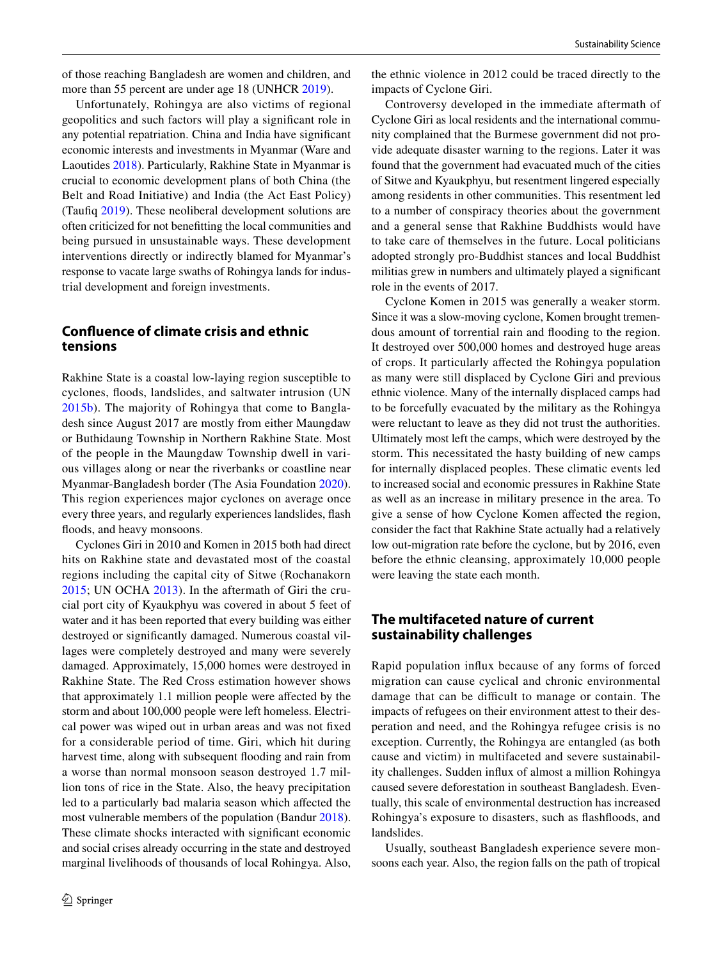of those reaching Bangladesh are women and children, and more than 55 percent are under age 18 (UNHCR [2019](#page-11-12)).

Unfortunately, Rohingya are also victims of regional geopolitics and such factors will play a signifcant role in any potential repatriation. China and India have signifcant economic interests and investments in Myanmar (Ware and Laoutides [2018](#page-12-2)). Particularly, Rakhine State in Myanmar is crucial to economic development plans of both China (the Belt and Road Initiative) and India (the Act East Policy) (Taufq [2019\)](#page-11-13). These neoliberal development solutions are often criticized for not beneftting the local communities and being pursued in unsustainable ways. These development interventions directly or indirectly blamed for Myanmar's response to vacate large swaths of Rohingya lands for industrial development and foreign investments.

# **Confuence of climate crisis and ethnic tensions**

Rakhine State is a coastal low-laying region susceptible to cyclones, foods, landslides, and saltwater intrusion (UN [2015b\)](#page-11-14). The majority of Rohingya that come to Bangladesh since August 2017 are mostly from either Maungdaw or Buthidaung Township in Northern Rakhine State. Most of the people in the Maungdaw Township dwell in various villages along or near the riverbanks or coastline near Myanmar-Bangladesh border (The Asia Foundation [2020](#page-11-15)). This region experiences major cyclones on average once every three years, and regularly experiences landslides, fash floods, and heavy monsoons.

Cyclones Giri in 2010 and Komen in 2015 both had direct hits on Rakhine state and devastated most of the coastal regions including the capital city of Sitwe (Rochanakorn [2015;](#page-11-16) UN OCHA [2013](#page-11-17)). In the aftermath of Giri the crucial port city of Kyaukphyu was covered in about 5 feet of water and it has been reported that every building was either destroyed or signifcantly damaged. Numerous coastal villages were completely destroyed and many were severely damaged. Approximately, 15,000 homes were destroyed in Rakhine State. The Red Cross estimation however shows that approximately 1.1 million people were afected by the storm and about 100,000 people were left homeless. Electrical power was wiped out in urban areas and was not fxed for a considerable period of time. Giri, which hit during harvest time, along with subsequent flooding and rain from a worse than normal monsoon season destroyed 1.7 million tons of rice in the State. Also, the heavy precipitation led to a particularly bad malaria season which afected the most vulnerable members of the population (Bandur [2018](#page-10-13)). These climate shocks interacted with signifcant economic and social crises already occurring in the state and destroyed marginal livelihoods of thousands of local Rohingya. Also, the ethnic violence in 2012 could be traced directly to the impacts of Cyclone Giri.

Controversy developed in the immediate aftermath of Cyclone Giri as local residents and the international community complained that the Burmese government did not provide adequate disaster warning to the regions. Later it was found that the government had evacuated much of the cities of Sitwe and Kyaukphyu, but resentment lingered especially among residents in other communities. This resentment led to a number of conspiracy theories about the government and a general sense that Rakhine Buddhists would have to take care of themselves in the future. Local politicians adopted strongly pro-Buddhist stances and local Buddhist militias grew in numbers and ultimately played a signifcant role in the events of 2017.

Cyclone Komen in 2015 was generally a weaker storm. Since it was a slow-moving cyclone, Komen brought tremendous amount of torrential rain and fooding to the region. It destroyed over 500,000 homes and destroyed huge areas of crops. It particularly afected the Rohingya population as many were still displaced by Cyclone Giri and previous ethnic violence. Many of the internally displaced camps had to be forcefully evacuated by the military as the Rohingya were reluctant to leave as they did not trust the authorities. Ultimately most left the camps, which were destroyed by the storm. This necessitated the hasty building of new camps for internally displaced peoples. These climatic events led to increased social and economic pressures in Rakhine State as well as an increase in military presence in the area. To give a sense of how Cyclone Komen afected the region, consider the fact that Rakhine State actually had a relatively low out-migration rate before the cyclone, but by 2016, even before the ethnic cleansing, approximately 10,000 people were leaving the state each month.

# **The multifaceted nature of current sustainability challenges**

Rapid population infux because of any forms of forced migration can cause cyclical and chronic environmental damage that can be difficult to manage or contain. The impacts of refugees on their environment attest to their desperation and need, and the Rohingya refugee crisis is no exception. Currently, the Rohingya are entangled (as both cause and victim) in multifaceted and severe sustainability challenges. Sudden infux of almost a million Rohingya caused severe deforestation in southeast Bangladesh. Eventually, this scale of environmental destruction has increased Rohingya's exposure to disasters, such as fashfoods, and landslides.

Usually, southeast Bangladesh experience severe monsoons each year. Also, the region falls on the path of tropical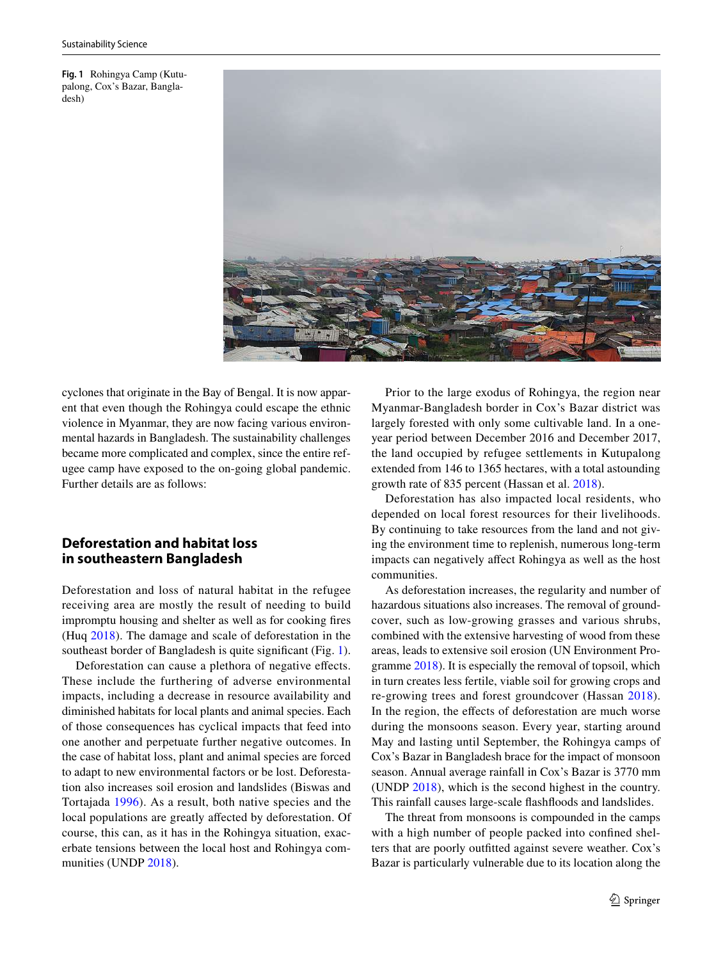<span id="page-4-0"></span>**Fig. 1** Rohingya Camp (Kutupalong, Cox's Bazar, Bangladesh)



cyclones that originate in the Bay of Bengal. It is now apparent that even though the Rohingya could escape the ethnic violence in Myanmar, they are now facing various environmental hazards in Bangladesh. The sustainability challenges became more complicated and complex, since the entire refugee camp have exposed to the on-going global pandemic. Further details are as follows:

# **Deforestation and habitat loss in southeastern Bangladesh**

Deforestation and loss of natural habitat in the refugee receiving area are mostly the result of needing to build impromptu housing and shelter as well as for cooking fres (Huq [2018](#page-10-15)). The damage and scale of deforestation in the southeast border of Bangladesh is quite significant (Fig. [1](#page-4-0)).

Deforestation can cause a plethora of negative efects. These include the furthering of adverse environmental impacts, including a decrease in resource availability and diminished habitats for local plants and animal species. Each of those consequences has cyclical impacts that feed into one another and perpetuate further negative outcomes. In the case of habitat loss, plant and animal species are forced to adapt to new environmental factors or be lost. Deforestation also increases soil erosion and landslides (Biswas and Tortajada [1996\)](#page-10-16). As a result, both native species and the local populations are greatly affected by deforestation. Of course, this can, as it has in the Rohingya situation, exacerbate tensions between the local host and Rohingya communities (UNDP [2018\)](#page-11-18).

Prior to the large exodus of Rohingya, the region near Myanmar-Bangladesh border in Cox's Bazar district was largely forested with only some cultivable land. In a oneyear period between December 2016 and December 2017, the land occupied by refugee settlements in Kutupalong extended from 146 to 1365 hectares, with a total astounding growth rate of 835 percent (Hassan et al. [2018](#page-10-17)).

Deforestation has also impacted local residents, who depended on local forest resources for their livelihoods. By continuing to take resources from the land and not giving the environment time to replenish, numerous long-term impacts can negatively afect Rohingya as well as the host communities.

As deforestation increases, the regularity and number of hazardous situations also increases. The removal of groundcover, such as low-growing grasses and various shrubs, combined with the extensive harvesting of wood from these areas, leads to extensive soil erosion (UN Environment Programme [2018](#page-11-19)). It is especially the removal of topsoil, which in turn creates less fertile, viable soil for growing crops and re-growing trees and forest groundcover (Hassan [2018](#page-10-17)). In the region, the efects of deforestation are much worse during the monsoons season. Every year, starting around May and lasting until September, the Rohingya camps of Cox's Bazar in Bangladesh brace for the impact of monsoon season. Annual average rainfall in Cox's Bazar is 3770 mm (UNDP [2018](#page-11-18)), which is the second highest in the country. This rainfall causes large-scale fashfoods and landslides.

The threat from monsoons is compounded in the camps with a high number of people packed into confned shelters that are poorly outftted against severe weather. Cox's Bazar is particularly vulnerable due to its location along the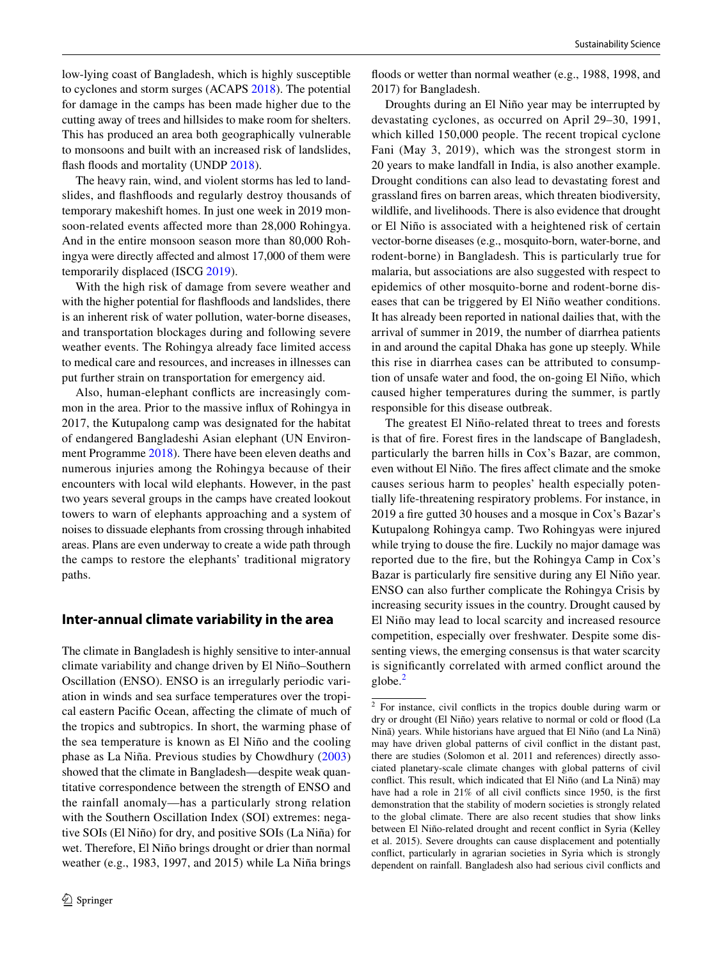low-lying coast of Bangladesh, which is highly susceptible to cyclones and storm surges (ACAPS [2018](#page-10-18)). The potential for damage in the camps has been made higher due to the cutting away of trees and hillsides to make room for shelters. This has produced an area both geographically vulnerable to monsoons and built with an increased risk of landslides, flash floods and mortality (UNDP [2018\)](#page-11-18).

The heavy rain, wind, and violent storms has led to landslides, and fashfoods and regularly destroy thousands of temporary makeshift homes. In just one week in 2019 monsoon-related events afected more than 28,000 Rohingya. And in the entire monsoon season more than 80,000 Rohingya were directly afected and almost 17,000 of them were temporarily displaced (ISCG [2019](#page-10-14)).

With the high risk of damage from severe weather and with the higher potential for fashfoods and landslides, there is an inherent risk of water pollution, water-borne diseases, and transportation blockages during and following severe weather events. The Rohingya already face limited access to medical care and resources, and increases in illnesses can put further strain on transportation for emergency aid.

Also, human-elephant conficts are increasingly common in the area. Prior to the massive infux of Rohingya in 2017, the Kutupalong camp was designated for the habitat of endangered Bangladeshi Asian elephant (UN Environment Programme [2018\)](#page-11-19). There have been eleven deaths and numerous injuries among the Rohingya because of their encounters with local wild elephants. However, in the past two years several groups in the camps have created lookout towers to warn of elephants approaching and a system of noises to dissuade elephants from crossing through inhabited areas. Plans are even underway to create a wide path through the camps to restore the elephants' traditional migratory paths.

# **Inter‑annual climate variability in the area**

The climate in Bangladesh is highly sensitive to inter-annual climate variability and change driven by El Niño–Southern Oscillation (ENSO). ENSO is an irregularly periodic variation in winds and sea surface temperatures over the tropical eastern Pacifc Ocean, afecting the climate of much of the tropics and subtropics. In short, the warming phase of the sea temperature is known as El Niño and the cooling phase as La Niña. Previous studies by Chowdhury [\(2003\)](#page-10-19) showed that the climate in Bangladesh—despite weak quantitative correspondence between the strength of ENSO and the rainfall anomaly—has a particularly strong relation with the Southern Oscillation Index (SOI) extremes: negative SOIs (El Niño) for dry, and positive SOIs (La Niña) for wet. Therefore, El Niño brings drought or drier than normal weather (e.g., 1983, 1997, and 2015) while La Niña brings floods or wetter than normal weather (e.g., 1988, 1998, and 2017) for Bangladesh.

Droughts during an El Niño year may be interrupted by devastating cyclones, as occurred on April 29–30, 1991, which killed 150,000 people. The recent tropical cyclone Fani (May 3, 2019), which was the strongest storm in 20 years to make landfall in India, is also another example. Drought conditions can also lead to devastating forest and grassland fres on barren areas, which threaten biodiversity, wildlife, and livelihoods. There is also evidence that drought or El Niño is associated with a heightened risk of certain vector-borne diseases (e.g., mosquito-born, water-borne, and rodent-borne) in Bangladesh. This is particularly true for malaria, but associations are also suggested with respect to epidemics of other mosquito-borne and rodent-borne diseases that can be triggered by El Niño weather conditions. It has already been reported in national dailies that, with the arrival of summer in 2019, the number of diarrhea patients in and around the capital Dhaka has gone up steeply. While this rise in diarrhea cases can be attributed to consumption of unsafe water and food, the on-going El Niño, which caused higher temperatures during the summer, is partly responsible for this disease outbreak.

The greatest El Niño-related threat to trees and forests is that of fre. Forest fres in the landscape of Bangladesh, particularly the barren hills in Cox's Bazar, are common, even without El Niño. The fres afect climate and the smoke causes serious harm to peoples' health especially potentially life-threatening respiratory problems. For instance, in 2019 a fre gutted 30 houses and a mosque in Cox's Bazar's Kutupalong Rohingya camp. Two Rohingyas were injured while trying to douse the fre. Luckily no major damage was reported due to the fre, but the Rohingya Camp in Cox's Bazar is particularly fre sensitive during any El Niño year. ENSO can also further complicate the Rohingya Crisis by increasing security issues in the country. Drought caused by El Niño may lead to local scarcity and increased resource competition, especially over freshwater. Despite some dissenting views, the emerging consensus is that water scarcity is signifcantly correlated with armed confict around the globe. $<sup>2</sup>$  $<sup>2</sup>$  $<sup>2</sup>$ </sup>

<span id="page-5-0"></span><sup>2</sup> For instance, civil conficts in the tropics double during warm or dry or drought (El Niño) years relative to normal or cold or food (La Ninã) years. While historians have argued that El Niño (and La Ninã) may have driven global patterns of civil confict in the distant past, there are studies (Solomon et al. 2011 and references) directly associated planetary-scale climate changes with global patterns of civil confict. This result, which indicated that El Niño (and La Ninã) may have had a role in 21% of all civil conficts since 1950, is the frst demonstration that the stability of modern societies is strongly related to the global climate. There are also recent studies that show links between El Niño-related drought and recent confict in Syria (Kelley et al. 2015). Severe droughts can cause displacement and potentially confict, particularly in agrarian societies in Syria which is strongly dependent on rainfall. Bangladesh also had serious civil conficts and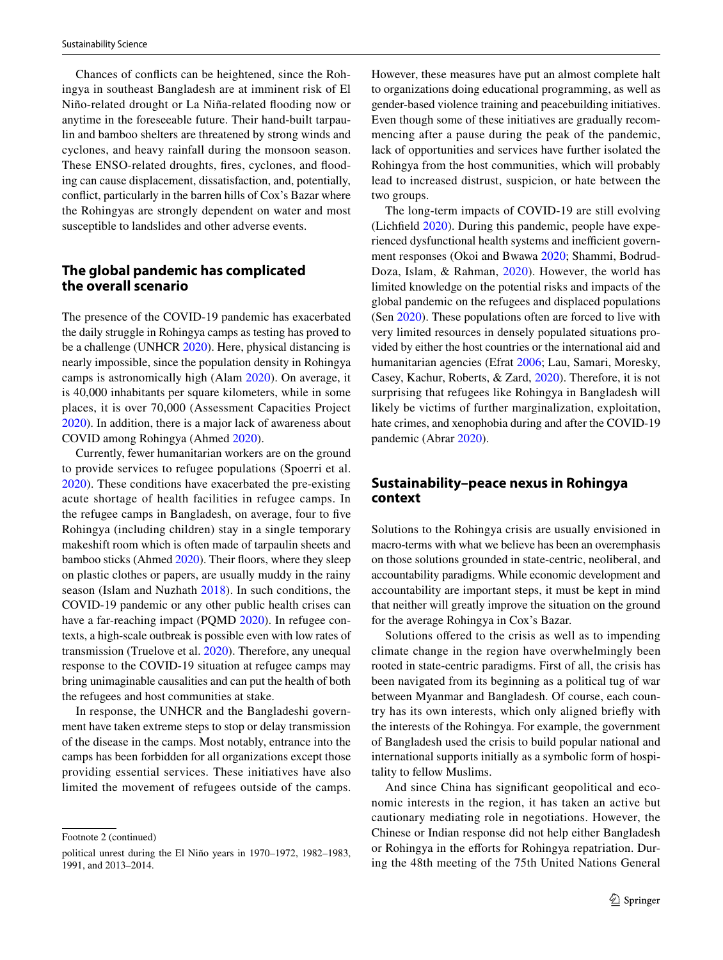Chances of conficts can be heightened, since the Rohingya in southeast Bangladesh are at imminent risk of El Niño-related drought or La Niña-related fooding now or anytime in the foreseeable future. Their hand-built tarpaulin and bamboo shelters are threatened by strong winds and cyclones, and heavy rainfall during the monsoon season. These ENSO-related droughts, fires, cyclones, and flooding can cause displacement, dissatisfaction, and, potentially, confict, particularly in the barren hills of Cox's Bazar where the Rohingyas are strongly dependent on water and most susceptible to landslides and other adverse events.

## **The global pandemic has complicated the overall scenario**

The presence of the COVID-19 pandemic has exacerbated the daily struggle in Rohingya camps as testing has proved to be a challenge (UNHCR [2020\)](#page-11-20). Here, physical distancing is nearly impossible, since the population density in Rohingya camps is astronomically high (Alam [2020\)](#page-10-20). On average, it is 40,000 inhabitants per square kilometers, while in some places, it is over 70,000 (Assessment Capacities Project [2020](#page-10-21)). In addition, there is a major lack of awareness about COVID among Rohingya (Ahmed [2020\)](#page-10-22).

Currently, fewer humanitarian workers are on the ground to provide services to refugee populations (Spoerri et al. [2020](#page-11-21)). These conditions have exacerbated the pre-existing acute shortage of health facilities in refugee camps. In the refugee camps in Bangladesh, on average, four to fve Rohingya (including children) stay in a single temporary makeshift room which is often made of tarpaulin sheets and bamboo sticks (Ahmed [2020](#page-10-22)). Their floors, where they sleep on plastic clothes or papers, are usually muddy in the rainy season (Islam and Nuzhath [2018](#page-10-23)). In such conditions, the COVID-19 pandemic or any other public health crises can have a far-reaching impact (PQMD [2020\)](#page-11-22). In refugee contexts, a high-scale outbreak is possible even with low rates of transmission (Truelove et al. [2020](#page-11-23)). Therefore, any unequal response to the COVID-19 situation at refugee camps may bring unimaginable causalities and can put the health of both the refugees and host communities at stake.

In response, the UNHCR and the Bangladeshi government have taken extreme steps to stop or delay transmission of the disease in the camps. Most notably, entrance into the camps has been forbidden for all organizations except those providing essential services. These initiatives have also limited the movement of refugees outside of the camps.

Footnote 2 (continued)

However, these measures have put an almost complete halt to organizations doing educational programming, as well as gender-based violence training and peacebuilding initiatives. Even though some of these initiatives are gradually recommencing after a pause during the peak of the pandemic, lack of opportunities and services have further isolated the Rohingya from the host communities, which will probably lead to increased distrust, suspicion, or hate between the two groups.

The long-term impacts of COVID-19 are still evolving (Lichfeld [2020\)](#page-11-24). During this pandemic, people have experienced dysfunctional health systems and inefficient government responses (Okoi and Bwawa [2020](#page-11-25); Shammi, Bodrud-Doza, Islam, & Rahman, [2020](#page-11-26)). However, the world has limited knowledge on the potential risks and impacts of the global pandemic on the refugees and displaced populations (Sen [2020](#page-11-27)). These populations often are forced to live with very limited resources in densely populated situations provided by either the host countries or the international aid and humanitarian agencies (Efrat [2006](#page-10-24); Lau, Samari, Moresky, Casey, Kachur, Roberts, & Zard, [2020\)](#page-10-25). Therefore, it is not surprising that refugees like Rohingya in Bangladesh will likely be victims of further marginalization, exploitation, hate crimes, and xenophobia during and after the COVID-19 pandemic (Abrar [2020](#page-10-26)).

# **Sustainability–peace nexus in Rohingya context**

Solutions to the Rohingya crisis are usually envisioned in macro-terms with what we believe has been an overemphasis on those solutions grounded in state-centric, neoliberal, and accountability paradigms. While economic development and accountability are important steps, it must be kept in mind that neither will greatly improve the situation on the ground for the average Rohingya in Cox's Bazar.

Solutions offered to the crisis as well as to impending climate change in the region have overwhelmingly been rooted in state-centric paradigms. First of all, the crisis has been navigated from its beginning as a political tug of war between Myanmar and Bangladesh. Of course, each country has its own interests, which only aligned briefy with the interests of the Rohingya. For example, the government of Bangladesh used the crisis to build popular national and international supports initially as a symbolic form of hospitality to fellow Muslims.

And since China has signifcant geopolitical and economic interests in the region, it has taken an active but cautionary mediating role in negotiations. However, the Chinese or Indian response did not help either Bangladesh or Rohingya in the efforts for Rohingya repatriation. During the 48th meeting of the 75th United Nations General

political unrest during the El Niño years in 1970–1972, 1982–1983, 1991, and 2013–2014.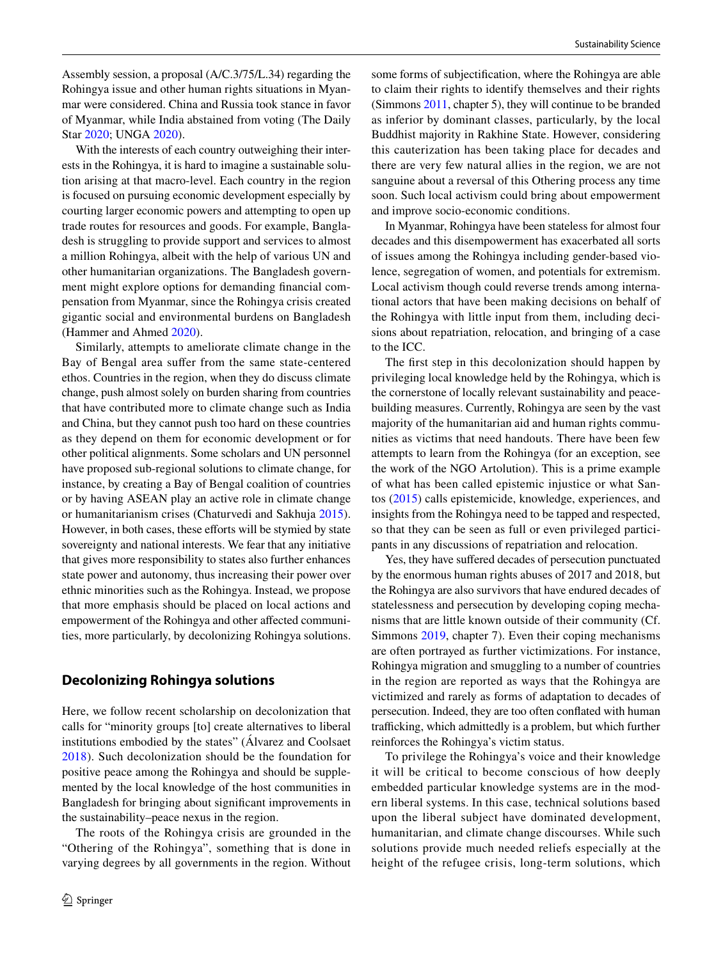Assembly session, a proposal (A/C.3/75/L.34) regarding the Rohingya issue and other human rights situations in Myanmar were considered. China and Russia took stance in favor of Myanmar, while India abstained from voting (The Daily Star [2020;](#page-10-26) UNGA [2020\)](#page-11-28).

With the interests of each country outweighing their interests in the Rohingya, it is hard to imagine a sustainable solution arising at that macro-level. Each country in the region is focused on pursuing economic development especially by courting larger economic powers and attempting to open up trade routes for resources and goods. For example, Bangladesh is struggling to provide support and services to almost a million Rohingya, albeit with the help of various UN and other humanitarian organizations. The Bangladesh government might explore options for demanding fnancial compensation from Myanmar, since the Rohingya crisis created gigantic social and environmental burdens on Bangladesh (Hammer and Ahmed [2020](#page-10-22)).

Similarly, attempts to ameliorate climate change in the Bay of Bengal area sufer from the same state-centered ethos. Countries in the region, when they do discuss climate change, push almost solely on burden sharing from countries that have contributed more to climate change such as India and China, but they cannot push too hard on these countries as they depend on them for economic development or for other political alignments. Some scholars and UN personnel have proposed sub-regional solutions to climate change, for instance, by creating a Bay of Bengal coalition of countries or by having ASEAN play an active role in climate change or humanitarianism crises (Chaturvedi and Sakhuja [2015](#page-10-27)). However, in both cases, these efforts will be stymied by state sovereignty and national interests. We fear that any initiative that gives more responsibility to states also further enhances state power and autonomy, thus increasing their power over ethnic minorities such as the Rohingya. Instead, we propose that more emphasis should be placed on local actions and empowerment of the Rohingya and other afected communities, more particularly, by decolonizing Rohingya solutions.

#### **Decolonizing Rohingya solutions**

Here, we follow recent scholarship on decolonization that calls for "minority groups [to] create alternatives to liberal institutions embodied by the states" (Álvarez and Coolsaet [2018\)](#page-10-28). Such decolonization should be the foundation for positive peace among the Rohingya and should be supplemented by the local knowledge of the host communities in Bangladesh for bringing about signifcant improvements in the sustainability–peace nexus in the region.

The roots of the Rohingya crisis are grounded in the "Othering of the Rohingya", something that is done in varying degrees by all governments in the region. Without some forms of subjectifcation, where the Rohingya are able to claim their rights to identify themselves and their rights (Simmons [2011,](#page-11-9) chapter 5), they will continue to be branded as inferior by dominant classes, particularly, by the local Buddhist majority in Rakhine State. However, considering this cauterization has been taking place for decades and there are very few natural allies in the region, we are not sanguine about a reversal of this Othering process any time soon. Such local activism could bring about empowerment and improve socio-economic conditions.

In Myanmar, Rohingya have been stateless for almost four decades and this disempowerment has exacerbated all sorts of issues among the Rohingya including gender-based violence, segregation of women, and potentials for extremism. Local activism though could reverse trends among international actors that have been making decisions on behalf of the Rohingya with little input from them, including decisions about repatriation, relocation, and bringing of a case to the ICC.

The frst step in this decolonization should happen by privileging local knowledge held by the Rohingya, which is the cornerstone of locally relevant sustainability and peacebuilding measures. Currently, Rohingya are seen by the vast majority of the humanitarian aid and human rights communities as victims that need handouts. There have been few attempts to learn from the Rohingya (for an exception, see the work of the NGO Artolution). This is a prime example of what has been called epistemic injustice or what Santos ([2015](#page-11-29)) calls epistemicide, knowledge, experiences, and insights from the Rohingya need to be tapped and respected, so that they can be seen as full or even privileged participants in any discussions of repatriation and relocation.

Yes, they have suffered decades of persecution punctuated by the enormous human rights abuses of 2017 and 2018, but the Rohingya are also survivors that have endured decades of statelessness and persecution by developing coping mechanisms that are little known outside of their community (Cf. Simmons [2019](#page-11-30), chapter 7). Even their coping mechanisms are often portrayed as further victimizations. For instance, Rohingya migration and smuggling to a number of countries in the region are reported as ways that the Rohingya are victimized and rarely as forms of adaptation to decades of persecution. Indeed, they are too often confated with human trafficking, which admittedly is a problem, but which further reinforces the Rohingya's victim status.

To privilege the Rohingya's voice and their knowledge it will be critical to become conscious of how deeply embedded particular knowledge systems are in the modern liberal systems. In this case, technical solutions based upon the liberal subject have dominated development, humanitarian, and climate change discourses. While such solutions provide much needed reliefs especially at the height of the refugee crisis, long-term solutions, which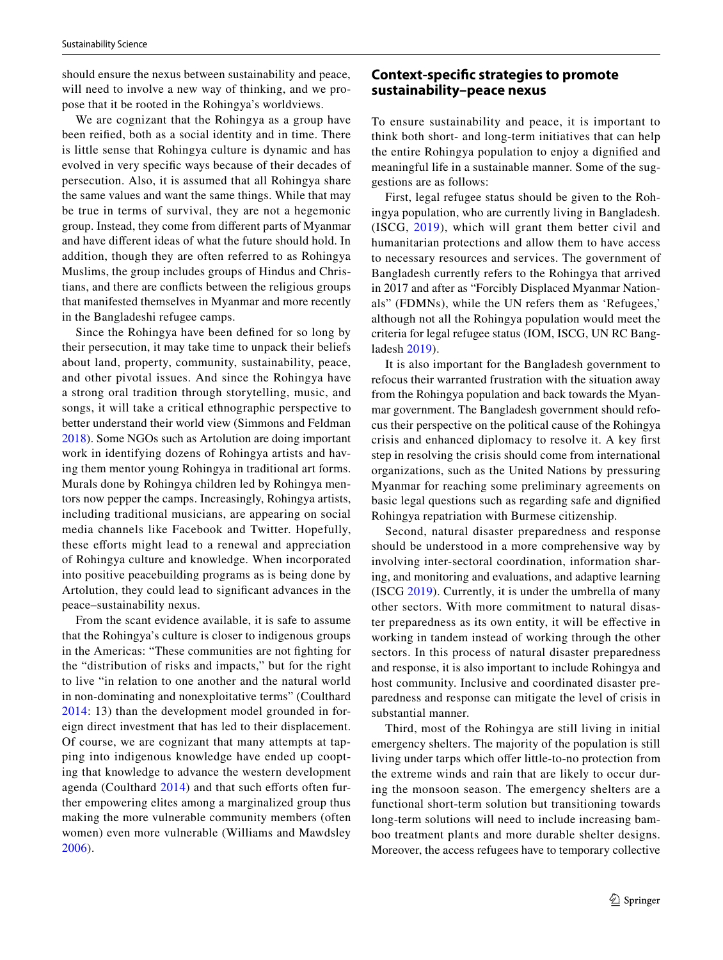should ensure the nexus between sustainability and peace, will need to involve a new way of thinking, and we propose that it be rooted in the Rohingya's worldviews.

We are cognizant that the Rohingya as a group have been reifed, both as a social identity and in time. There is little sense that Rohingya culture is dynamic and has evolved in very specifc ways because of their decades of persecution. Also, it is assumed that all Rohingya share the same values and want the same things. While that may be true in terms of survival, they are not a hegemonic group. Instead, they come from diferent parts of Myanmar and have diferent ideas of what the future should hold. In addition, though they are often referred to as Rohingya Muslims, the group includes groups of Hindus and Christians, and there are conficts between the religious groups that manifested themselves in Myanmar and more recently in the Bangladeshi refugee camps.

Since the Rohingya have been defned for so long by their persecution, it may take time to unpack their beliefs about land, property, community, sustainability, peace, and other pivotal issues. And since the Rohingya have a strong oral tradition through storytelling, music, and songs, it will take a critical ethnographic perspective to better understand their world view (Simmons and Feldman [2018](#page-11-31)). Some NGOs such as Artolution are doing important work in identifying dozens of Rohingya artists and having them mentor young Rohingya in traditional art forms. Murals done by Rohingya children led by Rohingya mentors now pepper the camps. Increasingly, Rohingya artists, including traditional musicians, are appearing on social media channels like Facebook and Twitter. Hopefully, these eforts might lead to a renewal and appreciation of Rohingya culture and knowledge. When incorporated into positive peacebuilding programs as is being done by Artolution, they could lead to signifcant advances in the peace–sustainability nexus.

From the scant evidence available, it is safe to assume that the Rohingya's culture is closer to indigenous groups in the Americas: "These communities are not fghting for the "distribution of risks and impacts," but for the right to live "in relation to one another and the natural world in non-dominating and nonexploitative terms" (Coulthard [2014](#page-10-29): 13) than the development model grounded in foreign direct investment that has led to their displacement. Of course, we are cognizant that many attempts at tapping into indigenous knowledge have ended up coopting that knowledge to advance the western development agenda (Coulthard  $2014$ ) and that such efforts often further empowering elites among a marginalized group thus making the more vulnerable community members (often women) even more vulnerable (Williams and Mawdsley [2006\)](#page-12-3).

# **Context‑specifc strategies to promote sustainability–peace nexus**

To ensure sustainability and peace, it is important to think both short- and long-term initiatives that can help the entire Rohingya population to enjoy a dignifed and meaningful life in a sustainable manner. Some of the suggestions are as follows:

First, legal refugee status should be given to the Rohingya population, who are currently living in Bangladesh. (ISCG, [2019\)](#page-10-14), which will grant them better civil and humanitarian protections and allow them to have access to necessary resources and services. The government of Bangladesh currently refers to the Rohingya that arrived in 2017 and after as "Forcibly Displaced Myanmar Nationals" (FDMNs), while the UN refers them as 'Refugees,' although not all the Rohingya population would meet the criteria for legal refugee status (IOM, ISCG, UN RC Bangladesh [2019](#page-10-30)).

It is also important for the Bangladesh government to refocus their warranted frustration with the situation away from the Rohingya population and back towards the Myanmar government. The Bangladesh government should refocus their perspective on the political cause of the Rohingya crisis and enhanced diplomacy to resolve it. A key frst step in resolving the crisis should come from international organizations, such as the United Nations by pressuring Myanmar for reaching some preliminary agreements on basic legal questions such as regarding safe and dignifed Rohingya repatriation with Burmese citizenship.

Second, natural disaster preparedness and response should be understood in a more comprehensive way by involving inter-sectoral coordination, information sharing, and monitoring and evaluations, and adaptive learning (ISCG [2019\)](#page-10-14). Currently, it is under the umbrella of many other sectors. With more commitment to natural disaster preparedness as its own entity, it will be efective in working in tandem instead of working through the other sectors. In this process of natural disaster preparedness and response, it is also important to include Rohingya and host community. Inclusive and coordinated disaster preparedness and response can mitigate the level of crisis in substantial manner.

Third, most of the Rohingya are still living in initial emergency shelters. The majority of the population is still living under tarps which offer little-to-no protection from the extreme winds and rain that are likely to occur during the monsoon season. The emergency shelters are a functional short-term solution but transitioning towards long-term solutions will need to include increasing bamboo treatment plants and more durable shelter designs. Moreover, the access refugees have to temporary collective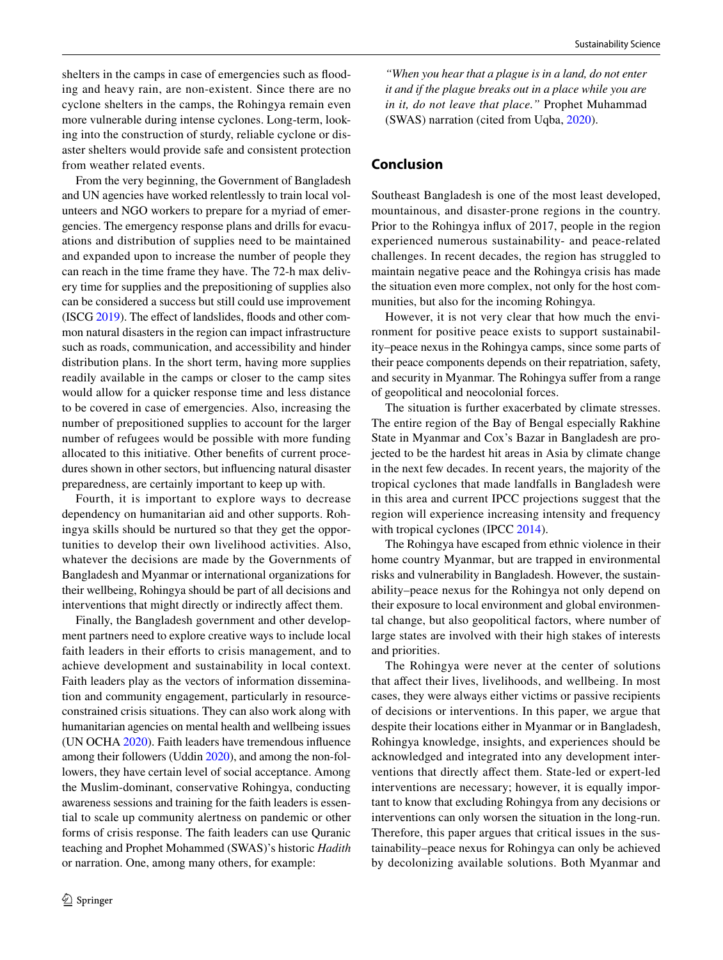shelters in the camps in case of emergencies such as fooding and heavy rain, are non-existent. Since there are no cyclone shelters in the camps, the Rohingya remain even more vulnerable during intense cyclones. Long-term, looking into the construction of sturdy, reliable cyclone or disaster shelters would provide safe and consistent protection from weather related events.

From the very beginning, the Government of Bangladesh and UN agencies have worked relentlessly to train local volunteers and NGO workers to prepare for a myriad of emergencies. The emergency response plans and drills for evacuations and distribution of supplies need to be maintained and expanded upon to increase the number of people they can reach in the time frame they have. The 72-h max delivery time for supplies and the prepositioning of supplies also can be considered a success but still could use improvement (ISCG [2019\)](#page-10-14). The efect of landslides, foods and other common natural disasters in the region can impact infrastructure such as roads, communication, and accessibility and hinder distribution plans. In the short term, having more supplies readily available in the camps or closer to the camp sites would allow for a quicker response time and less distance to be covered in case of emergencies. Also, increasing the number of prepositioned supplies to account for the larger number of refugees would be possible with more funding allocated to this initiative. Other benefts of current procedures shown in other sectors, but infuencing natural disaster preparedness, are certainly important to keep up with.

Fourth, it is important to explore ways to decrease dependency on humanitarian aid and other supports. Rohingya skills should be nurtured so that they get the opportunities to develop their own livelihood activities. Also, whatever the decisions are made by the Governments of Bangladesh and Myanmar or international organizations for their wellbeing, Rohingya should be part of all decisions and interventions that might directly or indirectly afect them.

Finally, the Bangladesh government and other development partners need to explore creative ways to include local faith leaders in their efforts to crisis management, and to achieve development and sustainability in local context. Faith leaders play as the vectors of information dissemination and community engagement, particularly in resourceconstrained crisis situations. They can also work along with humanitarian agencies on mental health and wellbeing issues (UN OCHA [2020\)](#page-11-32). Faith leaders have tremendous infuence among their followers (Uddin [2020](#page-11-33)), and among the non-followers, they have certain level of social acceptance. Among the Muslim-dominant, conservative Rohingya, conducting awareness sessions and training for the faith leaders is essential to scale up community alertness on pandemic or other forms of crisis response. The faith leaders can use Quranic teaching and Prophet Mohammed (SWAS)'s historic *Hadith* or narration. One, among many others, for example:

*"When you hear that a plague is in a land, do not enter it and if the plague breaks out in a place while you are in it, do not leave that place."* Prophet Muhammad (SWAS) narration (cited from Uqba, [2020](#page-11-34)).

# **Conclusion**

Southeast Bangladesh is one of the most least developed, mountainous, and disaster-prone regions in the country. Prior to the Rohingya infux of 2017, people in the region experienced numerous sustainability- and peace-related challenges. In recent decades, the region has struggled to maintain negative peace and the Rohingya crisis has made the situation even more complex, not only for the host communities, but also for the incoming Rohingya.

However, it is not very clear that how much the environment for positive peace exists to support sustainability–peace nexus in the Rohingya camps, since some parts of their peace components depends on their repatriation, safety, and security in Myanmar. The Rohingya sufer from a range of geopolitical and neocolonial forces.

The situation is further exacerbated by climate stresses. The entire region of the Bay of Bengal especially Rakhine State in Myanmar and Cox's Bazar in Bangladesh are projected to be the hardest hit areas in Asia by climate change in the next few decades. In recent years, the majority of the tropical cyclones that made landfalls in Bangladesh were in this area and current IPCC projections suggest that the region will experience increasing intensity and frequency with tropical cyclones (IPCC [2014](#page-10-31)).

The Rohingya have escaped from ethnic violence in their home country Myanmar, but are trapped in environmental risks and vulnerability in Bangladesh. However, the sustainability–peace nexus for the Rohingya not only depend on their exposure to local environment and global environmental change, but also geopolitical factors, where number of large states are involved with their high stakes of interests and priorities.

The Rohingya were never at the center of solutions that afect their lives, livelihoods, and wellbeing. In most cases, they were always either victims or passive recipients of decisions or interventions. In this paper, we argue that despite their locations either in Myanmar or in Bangladesh, Rohingya knowledge, insights, and experiences should be acknowledged and integrated into any development interventions that directly afect them. State-led or expert-led interventions are necessary; however, it is equally important to know that excluding Rohingya from any decisions or interventions can only worsen the situation in the long-run. Therefore, this paper argues that critical issues in the sustainability–peace nexus for Rohingya can only be achieved by decolonizing available solutions. Both Myanmar and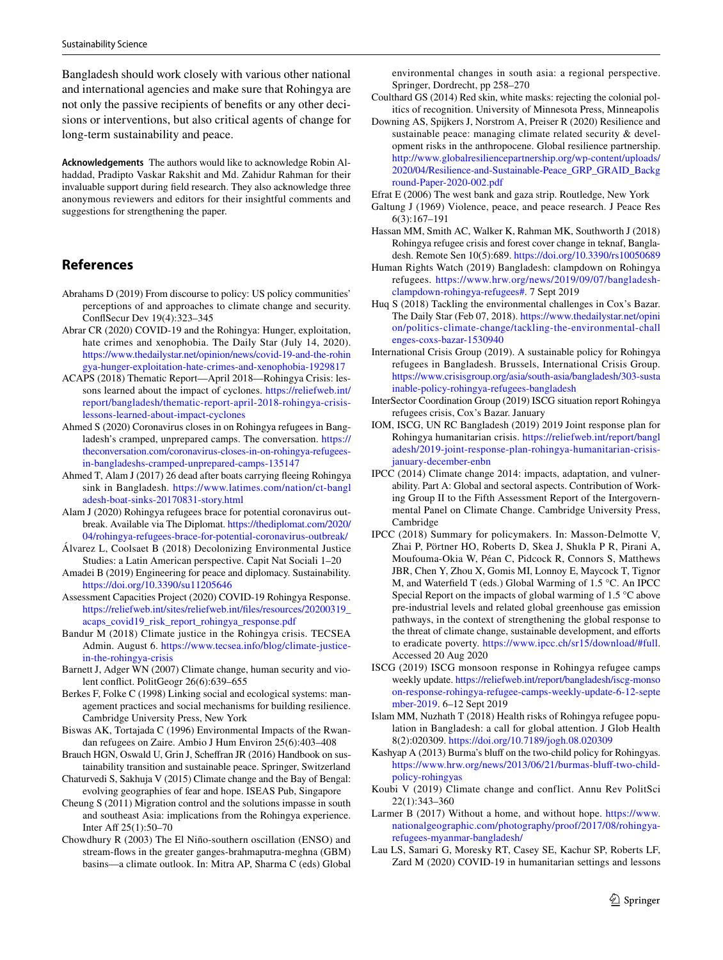Bangladesh should work closely with various other national and international agencies and make sure that Rohingya are not only the passive recipients of benefts or any other decisions or interventions, but also critical agents of change for long-term sustainability and peace.

**Acknowledgements** The authors would like to acknowledge Robin Alhaddad, Pradipto Vaskar Rakshit and Md. Zahidur Rahman for their invaluable support during feld research. They also acknowledge three anonymous reviewers and editors for their insightful comments and suggestions for strengthening the paper.

#### **References**

- <span id="page-10-4"></span>Abrahams D (2019) From discourse to policy: US policy communities' perceptions of and approaches to climate change and security. ConfSecur Dev 19(4):323–345
- <span id="page-10-26"></span>Abrar CR (2020) COVID-19 and the Rohingya: Hunger, exploitation, hate crimes and xenophobia. The Daily Star (July 14, 2020). [https://www.thedailystar.net/opinion/news/covid-19-and-the-rohin](https://www.thedailystar.net/opinion/news/covid-19-and-the-rohingya-hunger-exploitation-hate-crimes-and-xenophobia-1929817) [gya-hunger-exploitation-hate-crimes-and-xenophobia-1929817](https://www.thedailystar.net/opinion/news/covid-19-and-the-rohingya-hunger-exploitation-hate-crimes-and-xenophobia-1929817)
- <span id="page-10-18"></span>ACAPS (2018) Thematic Report—April 2018—Rohingya Crisis: lessons learned about the impact of cyclones. [https://reliefweb.int/](https://reliefweb.int/report/bangladesh/thematic-report-april-2018-rohingya-crisis-lessons-learned-about-impact-cyclones) [report/bangladesh/thematic-report-april-2018-rohingya-crisis](https://reliefweb.int/report/bangladesh/thematic-report-april-2018-rohingya-crisis-lessons-learned-about-impact-cyclones)[lessons-learned-about-impact-cyclones](https://reliefweb.int/report/bangladesh/thematic-report-april-2018-rohingya-crisis-lessons-learned-about-impact-cyclones)
- <span id="page-10-22"></span>Ahmed S (2020) Coronavirus closes in on Rohingya refugees in Bangladesh's cramped, unprepared camps. The conversation. [https://](https://theconversation.com/coronavirus-closes-in-on-rohingya-refugees-in-bangladeshs-cramped-unprepared-camps-135147) [theconversation.com/coronavirus-closes-in-on-rohingya-refugees](https://theconversation.com/coronavirus-closes-in-on-rohingya-refugees-in-bangladeshs-cramped-unprepared-camps-135147)[in-bangladeshs-cramped-unprepared-camps-135147](https://theconversation.com/coronavirus-closes-in-on-rohingya-refugees-in-bangladeshs-cramped-unprepared-camps-135147)
- <span id="page-10-11"></span>Ahmed T, Alam J (2017) 26 dead after boats carrying fleeing Rohingya sink in Bangladesh. [https://www.latimes.com/nation/ct-bangl](https://www.latimes.com/nation/ct-bangladesh-boat-sinks-20170831-story.html) [adesh-boat-sinks-20170831-story.html](https://www.latimes.com/nation/ct-bangladesh-boat-sinks-20170831-story.html)
- <span id="page-10-20"></span>Alam J (2020) Rohingya refugees brace for potential coronavirus outbreak. Available via The Diplomat. [https://thediplomat.com/2020/](https://thediplomat.com/2020/04/rohingya-refugees-brace-for-potential-coronavirus-outbreak/) [04/rohingya-refugees-brace-for-potential-coronavirus-outbreak/](https://thediplomat.com/2020/04/rohingya-refugees-brace-for-potential-coronavirus-outbreak/)
- <span id="page-10-28"></span>Álvarez L, Coolsaet B (2018) Decolonizing Environmental Justice Studies: a Latin American perspective. Capit Nat Sociali 1–20
- <span id="page-10-7"></span>Amadei B (2019) Engineering for peace and diplomacy. Sustainability. <https://doi.org/10.3390/su11205646>
- <span id="page-10-21"></span>Assessment Capacities Project (2020) COVID-19 Rohingya Response. [https://reliefweb.int/sites/reliefweb.int/fles/resources/20200319\\_](https://reliefweb.int/sites/reliefweb.int/files/resources/20200319_acaps_covid19_risk_report_rohingya_response.pdf) [acaps\\_covid19\\_risk\\_report\\_rohingya\\_response.pdf](https://reliefweb.int/sites/reliefweb.int/files/resources/20200319_acaps_covid19_risk_report_rohingya_response.pdf)
- <span id="page-10-13"></span>Bandur M (2018) Climate justice in the Rohingya crisis. TECSEA Admin. August 6. [https://www.tecsea.info/blog/climate-justice](https://www.tecsea.info/blog/climate-justice-in-the-rohingya-crisis)[in-the-rohingya-crisis](https://www.tecsea.info/blog/climate-justice-in-the-rohingya-crisis)
- <span id="page-10-3"></span>Barnett J, Adger WN (2007) Climate change, human security and violent confict. PolitGeogr 26(6):639–655
- <span id="page-10-1"></span>Berkes F, Folke C (1998) Linking social and ecological systems: management practices and social mechanisms for building resilience. Cambridge University Press, New York
- <span id="page-10-16"></span>Biswas AK, Tortajada C (1996) Environmental Impacts of the Rwandan refugees on Zaire. Ambio J Hum Environ 25(6):403–408
- Brauch HGN, Oswald U, Grin J, Schefran JR (2016) Handbook on sustainability transition and sustainable peace. Springer, Switzerland
- <span id="page-10-27"></span>Chaturvedi S, Sakhuja V (2015) Climate change and the Bay of Bengal: evolving geographies of fear and hope. ISEAS Pub, Singapore
- <span id="page-10-8"></span>Cheung S (2011) Migration control and the solutions impasse in south and southeast Asia: implications from the Rohingya experience. Inter Aff 25(1):50-70
- <span id="page-10-19"></span>Chowdhury R (2003) The El Niño-southern oscillation (ENSO) and stream-fows in the greater ganges-brahmaputra-meghna (GBM) basins—a climate outlook. In: Mitra AP, Sharma C (eds) Global

environmental changes in south asia: a regional perspective. Springer, Dordrecht, pp 258–270

- <span id="page-10-29"></span>Coulthard GS (2014) Red skin, white masks: rejecting the colonial politics of recognition. University of Minnesota Press, Minneapolis
- <span id="page-10-0"></span>Downing AS, Spijkers J, Norstrom A, Preiser R (2020) Resilience and sustainable peace: managing climate related security & development risks in the anthropocene. Global resilience partnership. [http://www.globalresiliencepartnership.org/wp-content/uploads/](http://www.globalresiliencepartnership.org/wp-content/uploads/2020/04/Resilience-and-Sustainable-Peace_GRP_GRAID_Background-Paper-2020-002.pdf) [2020/04/Resilience-and-Sustainable-Peace\\_GRP\\_GRAID\\_Backg](http://www.globalresiliencepartnership.org/wp-content/uploads/2020/04/Resilience-and-Sustainable-Peace_GRP_GRAID_Background-Paper-2020-002.pdf) [round-Paper-2020-002.pdf](http://www.globalresiliencepartnership.org/wp-content/uploads/2020/04/Resilience-and-Sustainable-Peace_GRP_GRAID_Background-Paper-2020-002.pdf)
- <span id="page-10-24"></span>Efrat E (2006) The west bank and gaza strip. Routledge, New York
- <span id="page-10-6"></span>Galtung J (1969) Violence, peace, and peace research. J Peace Res 6(3):167–191
- <span id="page-10-17"></span>Hassan MM, Smith AC, Walker K, Rahman MK, Southworth J (2018) Rohingya refugee crisis and forest cover change in teknaf, Bangladesh. Remote Sen 10(5):689. <https://doi.org/10.3390/rs10050689>
- Human Rights Watch (2019) Bangladesh: clampdown on Rohingya refugees. [https://www.hrw.org/news/2019/09/07/bangladesh](https://www.hrw.org/news/2019/09/07/bangladesh-clampdown-rohingya-refugees#)[clampdown-rohingya-refugees#](https://www.hrw.org/news/2019/09/07/bangladesh-clampdown-rohingya-refugees#). 7 Sept 2019
- <span id="page-10-15"></span>Huq S (2018) Tackling the environmental challenges in Cox's Bazar. The Daily Star (Feb 07, 2018). [https://www.thedailystar.net/opini](https://www.thedailystar.net/opinion/politics-climate-change/tackling-the-environmental-challenges-coxs-bazar-1530940) [on/politics-climate-change/tackling-the-environmental-chall](https://www.thedailystar.net/opinion/politics-climate-change/tackling-the-environmental-challenges-coxs-bazar-1530940) [enges-coxs-bazar-1530940](https://www.thedailystar.net/opinion/politics-climate-change/tackling-the-environmental-challenges-coxs-bazar-1530940)
- <span id="page-10-10"></span>International Crisis Group (2019). A sustainable policy for Rohingya refugees in Bangladesh. Brussels, International Crisis Group. [https://www.crisisgroup.org/asia/south-asia/bangladesh/303-susta](https://www.crisisgroup.org/asia/south-asia/bangladesh/303-sustainable-policy-rohingya-refugees-bangladesh) [inable-policy-rohingya-refugees-bangladesh](https://www.crisisgroup.org/asia/south-asia/bangladesh/303-sustainable-policy-rohingya-refugees-bangladesh)
- InterSector Coordination Group (2019) ISCG situation report Rohingya refugees crisis, Cox's Bazar. January
- <span id="page-10-30"></span>IOM, ISCG, UN RC Bangladesh (2019) 2019 Joint response plan for Rohingya humanitarian crisis. [https://reliefweb.int/report/bangl](https://reliefweb.int/report/bangladesh/2019-joint-response-plan-rohingya-humanitarian-crisis-january-december-enbn) [adesh/2019-joint-response-plan-rohingya-humanitarian-crisis](https://reliefweb.int/report/bangladesh/2019-joint-response-plan-rohingya-humanitarian-crisis-january-december-enbn)[january-december-enbn](https://reliefweb.int/report/bangladesh/2019-joint-response-plan-rohingya-humanitarian-crisis-january-december-enbn)
- <span id="page-10-31"></span>IPCC (2014) Climate change 2014: impacts, adaptation, and vulnerability. Part A: Global and sectoral aspects. Contribution of Working Group II to the Fifth Assessment Report of the Intergovernmental Panel on Climate Change. Cambridge University Press, Cambridge
- <span id="page-10-2"></span>IPCC (2018) Summary for policymakers. In: Masson-Delmotte V, Zhai P, Pörtner HO, Roberts D, Skea J, Shukla P R, Pirani A, Moufouma-Okia W, Péan C, Pidcock R, Connors S, Matthews JBR, Chen Y, Zhou X, Gomis MI, Lonnoy E, Maycock T, Tignor M, and Waterfeld T (eds.) Global Warming of 1.5 °C. An IPCC Special Report on the impacts of global warming of 1.5 °C above pre-industrial levels and related global greenhouse gas emission pathways, in the context of strengthening the global response to the threat of climate change, sustainable development, and efforts to eradicate poverty. <https://www.ipcc.ch/sr15/download/#full>. Accessed 20 Aug 2020
- <span id="page-10-14"></span>ISCG (2019) ISCG monsoon response in Rohingya refugee camps weekly update. [https://reliefweb.int/report/bangladesh/iscg-monso](https://reliefweb.int/report/bangladesh/iscg-monsoon-response-rohingya-refugee-camps-weekly-update-6-12-september-2019) [on-response-rohingya-refugee-camps-weekly-update-6-12-septe](https://reliefweb.int/report/bangladesh/iscg-monsoon-response-rohingya-refugee-camps-weekly-update-6-12-september-2019) [mber-2019.](https://reliefweb.int/report/bangladesh/iscg-monsoon-response-rohingya-refugee-camps-weekly-update-6-12-september-2019) 6–12 Sept 2019
- <span id="page-10-23"></span>Islam MM, Nuzhath T (2018) Health risks of Rohingya refugee population in Bangladesh: a call for global attention. J Glob Health 8(2):020309. <https://doi.org/10.7189/jogh.08.020309>
- <span id="page-10-9"></span>Kashyap A (2013) Burma's bluff on the two-child policy for Rohingyas. https://www.hrw.org/news/2013/06/21/burmas-bluff-two-child[policy-rohingyas](https://www.hrw.org/news/2013/06/21/burmas-bluff-two-child-policy-rohingyas)
- <span id="page-10-5"></span>Koubi V (2019) Climate change and conflict. Annu Rev PolitSci 22(1):343–360
- <span id="page-10-12"></span>Larmer B (2017) Without a home, and without hope. [https://www.](https://www.nationalgeographic.com/photography/proof/2017/08/rohingya-refugees-myanmar-bangladesh/) [nationalgeographic.com/photography/proof/2017/08/rohingya](https://www.nationalgeographic.com/photography/proof/2017/08/rohingya-refugees-myanmar-bangladesh/)[refugees-myanmar-bangladesh/](https://www.nationalgeographic.com/photography/proof/2017/08/rohingya-refugees-myanmar-bangladesh/)
- <span id="page-10-25"></span>Lau LS, Samari G, Moresky RT, Casey SE, Kachur SP, Roberts LF, Zard M (2020) COVID-19 in humanitarian settings and lessons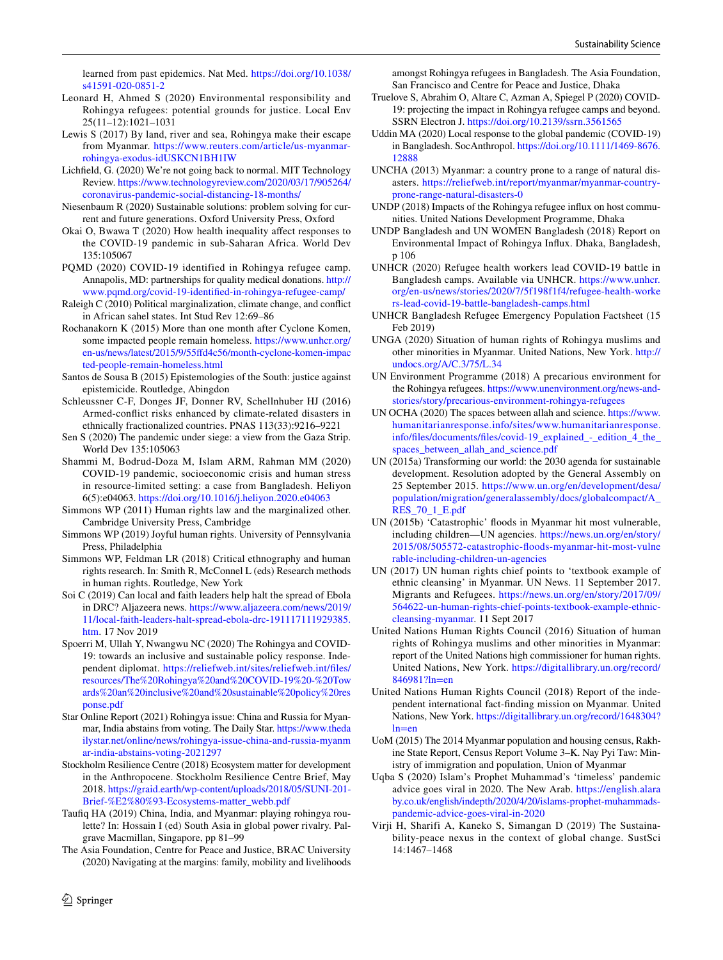learned from past epidemics. Nat Med. [https://doi.org/10.1038/](https://doi.org/10.1038/s41591-020-0851-2) [s41591-020-0851-2](https://doi.org/10.1038/s41591-020-0851-2)

- Leonard H, Ahmed S (2020) Environmental responsibility and Rohingya refugees: potential grounds for justice. Local Env 25(11–12):1021–1031
- <span id="page-11-11"></span>Lewis S (2017) By land, river and sea, Rohingya make their escape from Myanmar. [https://www.reuters.com/article/us-myanmar](https://www.reuters.com/article/us-myanmar-rohingya-exodus-idUSKCN1BH1IW)[rohingya-exodus-idUSKCN1BH1IW](https://www.reuters.com/article/us-myanmar-rohingya-exodus-idUSKCN1BH1IW)
- <span id="page-11-24"></span>Lichfeld, G. (2020) We're not going back to normal. MIT Technology Review. [https://www.technologyreview.com/2020/03/17/905264/](https://www.technologyreview.com/2020/03/17/905264/coronavirus-pandemic-social-distancing-18-months/) [coronavirus-pandemic-social-distancing-18-months/](https://www.technologyreview.com/2020/03/17/905264/coronavirus-pandemic-social-distancing-18-months/)
- <span id="page-11-1"></span>Niesenbaum R (2020) Sustainable solutions: problem solving for current and future generations. Oxford University Press, Oxford
- <span id="page-11-25"></span>Okai O, Bwawa T (2020) How health inequality afect responses to the COVID-19 pandemic in sub-Saharan Africa. World Dev 135:105067
- <span id="page-11-22"></span>PQMD (2020) COVID-19 identified in Rohingya refugee camp. Annapolis, MD: partnerships for quality medical donations. [http://](http://www.pqmd.org/covid-19-identified-in-rohingya-refugee-camp/) [www.pqmd.org/covid-19-identifed-in-rohingya-refugee-camp/](http://www.pqmd.org/covid-19-identified-in-rohingya-refugee-camp/)
- <span id="page-11-4"></span>Raleigh C (2010) Political marginalization, climate change, and confict in African sahel states. Int Stud Rev 12:69–86
- <span id="page-11-16"></span>Rochanakorn K (2015) More than one month after Cyclone Komen, some impacted people remain homeless. [https://www.unhcr.org/](https://www.unhcr.org/en-us/news/latest/2015/9/55ffd4c56/month-cyclone-komen-impacted-people-remain-homeless.html) [en-us/news/latest/2015/9/55fd4c56/month-cyclone-komen-impac](https://www.unhcr.org/en-us/news/latest/2015/9/55ffd4c56/month-cyclone-komen-impacted-people-remain-homeless.html) [ted-people-remain-homeless.html](https://www.unhcr.org/en-us/news/latest/2015/9/55ffd4c56/month-cyclone-komen-impacted-people-remain-homeless.html)
- <span id="page-11-29"></span>Santos de Sousa B (2015) Epistemologies of the South: justice against epistemicide. Routledge, Abingdon
- <span id="page-11-3"></span>Schleussner C-F, Donges JF, Donner RV, Schellnhuber HJ (2016) Armed-confict risks enhanced by climate-related disasters in ethnically fractionalized countries. PNAS 113(33):9216–9221
- <span id="page-11-27"></span>Sen S (2020) The pandemic under siege: a view from the Gaza Strip. World Dev 135:105063
- <span id="page-11-26"></span>Shammi M, Bodrud-Doza M, Islam ARM, Rahman MM (2020) COVID-19 pandemic, socioeconomic crisis and human stress in resource-limited setting: a case from Bangladesh. Heliyon 6(5):e04063.<https://doi.org/10.1016/j.heliyon.2020.e04063>
- <span id="page-11-9"></span>Simmons WP (2011) Human rights law and the marginalized other. Cambridge University Press, Cambridge
- <span id="page-11-30"></span>Simmons WP (2019) Joyful human rights. University of Pennsylvania Press, Philadelphia
- <span id="page-11-31"></span>Simmons WP, Feldman LR (2018) Critical ethnography and human rights research. In: Smith R, McConnel L (eds) Research methods in human rights. Routledge, New York
- Soi C (2019) Can local and faith leaders help halt the spread of Ebola in DRC? Aljazeera news. [https://www.aljazeera.com/news/2019/](https://www.aljazeera.com/news/2019/11/local-faith-leaders-halt-spread-ebola-drc-191117111929385.htm) [11/local-faith-leaders-halt-spread-ebola-drc-191117111929385.](https://www.aljazeera.com/news/2019/11/local-faith-leaders-halt-spread-ebola-drc-191117111929385.htm) [htm](https://www.aljazeera.com/news/2019/11/local-faith-leaders-halt-spread-ebola-drc-191117111929385.htm). 17 Nov 2019
- <span id="page-11-21"></span>Spoerri M, Ullah Y, Nwangwu NC (2020) The Rohingya and COVID-19: towards an inclusive and sustainable policy response. Independent diplomat. [https://reliefweb.int/sites/reliefweb.int/fles/](https://reliefweb.int/sites/reliefweb.int/files/resources/The%20Rohingya%20and%20COVID-19%20-%20Towards%20an%20inclusive%20and%20sustainable%20policy%20response.pdf) [resources/The%20Rohingya%20and%20COVID-19%20-%20Tow](https://reliefweb.int/sites/reliefweb.int/files/resources/The%20Rohingya%20and%20COVID-19%20-%20Towards%20an%20inclusive%20and%20sustainable%20policy%20response.pdf) [ards%20an%20inclusive%20and%20sustainable%20policy%20res](https://reliefweb.int/sites/reliefweb.int/files/resources/The%20Rohingya%20and%20COVID-19%20-%20Towards%20an%20inclusive%20and%20sustainable%20policy%20response.pdf) [ponse.pdf](https://reliefweb.int/sites/reliefweb.int/files/resources/The%20Rohingya%20and%20COVID-19%20-%20Towards%20an%20inclusive%20and%20sustainable%20policy%20response.pdf)
- Star Online Report (2021) Rohingya issue: China and Russia for Myanmar, India abstains from voting. The Daily Star. [https://www.theda](https://www.thedailystar.net/online/news/rohingya-issue-china-and-russia-myanmar-india-abstains-voting-2021297) [ilystar.net/online/news/rohingya-issue-china-and-russia-myanm](https://www.thedailystar.net/online/news/rohingya-issue-china-and-russia-myanmar-india-abstains-voting-2021297) [ar-india-abstains-voting-2021297](https://www.thedailystar.net/online/news/rohingya-issue-china-and-russia-myanmar-india-abstains-voting-2021297)
- <span id="page-11-0"></span>Stockholm Resilience Centre (2018) Ecosystem matter for development in the Anthropocene. Stockholm Resilience Centre Brief, May 2018. [https://graid.earth/wp-content/uploads/2018/05/SUNI-201-](https://graid.earth/wp-content/uploads/2018/05/SUNI-201-Brief-%E2%80%93-Ecosystems-matter_webb.pdf) [Brief-%E2%80%93-Ecosystems-matter\\_webb.pdf](https://graid.earth/wp-content/uploads/2018/05/SUNI-201-Brief-%E2%80%93-Ecosystems-matter_webb.pdf)
- <span id="page-11-13"></span>Taufq HA (2019) China, India, and Myanmar: playing rohingya roulette? In: Hossain I (ed) South Asia in global power rivalry. Palgrave Macmillan, Singapore, pp 81–99
- <span id="page-11-15"></span>The Asia Foundation, Centre for Peace and Justice, BRAC University (2020) Navigating at the margins: family, mobility and livelihoods

amongst Rohingya refugees in Bangladesh. The Asia Foundation, San Francisco and Centre for Peace and Justice, Dhaka

- <span id="page-11-23"></span>Truelove S, Abrahim O, Altare C, Azman A, Spiegel P (2020) COVID-19: projecting the impact in Rohingya refugee camps and beyond. SSRN Electron J.<https://doi.org/10.2139/ssrn.3561565>
- <span id="page-11-33"></span>Uddin MA (2020) Local response to the global pandemic (COVID-19) in Bangladesh. SocAnthropol. [https://doi.org/10.1111/1469-8676.](https://doi.org/10.1111/1469-8676.12888) [12888](https://doi.org/10.1111/1469-8676.12888)
- <span id="page-11-17"></span>UNCHA (2013) Myanmar: a country prone to a range of natural disasters. [https://reliefweb.int/report/myanmar/myanmar-country](https://reliefweb.int/report/myanmar/myanmar-country-prone-range-natural-disasters-0)[prone-range-natural-disasters-0](https://reliefweb.int/report/myanmar/myanmar-country-prone-range-natural-disasters-0)
- <span id="page-11-18"></span>UNDP (2018) Impacts of the Rohingya refugee infux on host communities. United Nations Development Programme, Dhaka
- UNDP Bangladesh and UN WOMEN Bangladesh (2018) Report on Environmental Impact of Rohingya Infux. Dhaka, Bangladesh, p 106
- <span id="page-11-20"></span>UNHCR (2020) Refugee health workers lead COVID-19 battle in Bangladesh camps. Available via UNHCR. [https://www.unhcr.](https://www.unhcr.org/en-us/news/stories/2020/7/5f198f1f4/refugee-health-workers-lead-covid-19-battle-bangladesh-camps.html) [org/en-us/news/stories/2020/7/5f198f1f4/refugee-health-worke](https://www.unhcr.org/en-us/news/stories/2020/7/5f198f1f4/refugee-health-workers-lead-covid-19-battle-bangladesh-camps.html) [rs-lead-covid-19-battle-bangladesh-camps.html](https://www.unhcr.org/en-us/news/stories/2020/7/5f198f1f4/refugee-health-workers-lead-covid-19-battle-bangladesh-camps.html)
- <span id="page-11-12"></span>UNHCR Bangladesh Refugee Emergency Population Factsheet (15 Feb 2019)
- <span id="page-11-28"></span>UNGA (2020) Situation of human rights of Rohingya muslims and other minorities in Myanmar. United Nations, New York. [http://](http://undocs.org/A/C.3/75/L.34) [undocs.org/A/C.3/75/L.34](http://undocs.org/A/C.3/75/L.34)
- <span id="page-11-19"></span>UN Environment Programme (2018) A precarious environment for the Rohingya refugees. [https://www.unenvironment.org/news-and](https://www.unenvironment.org/news-and-stories/story/precarious-environment-rohingya-refugees)[stories/story/precarious-environment-rohingya-refugees](https://www.unenvironment.org/news-and-stories/story/precarious-environment-rohingya-refugees)
- <span id="page-11-32"></span>UN OCHA (2020) The spaces between allah and science. [https://www.](https://www.humanitarianresponse.info/sites/www.humanitarianresponse.info/files/documents/files/covid-19_explained_-_edition_4_the_spaces_between_allah_and_science.pdf) [humanitarianresponse.info/sites/www.humanitarianresponse.](https://www.humanitarianresponse.info/sites/www.humanitarianresponse.info/files/documents/files/covid-19_explained_-_edition_4_the_spaces_between_allah_and_science.pdf) [info/fles/documents/fles/covid-19\\_explained\\_-\\_edition\\_4\\_the\\_](https://www.humanitarianresponse.info/sites/www.humanitarianresponse.info/files/documents/files/covid-19_explained_-_edition_4_the_spaces_between_allah_and_science.pdf) [spaces\\_between\\_allah\\_and\\_science.pdf](https://www.humanitarianresponse.info/sites/www.humanitarianresponse.info/files/documents/files/covid-19_explained_-_edition_4_the_spaces_between_allah_and_science.pdf)
- <span id="page-11-5"></span>UN (2015a) Transforming our world: the 2030 agenda for sustainable development. Resolution adopted by the General Assembly on 25 September 2015. [https://www.un.org/en/development/desa/](https://www.un.org/en/development/desa/population/migration/generalassembly/docs/globalcompact/A_RES_70_1_E.pdf) [population/migration/generalassembly/docs/globalcompact/A\\_](https://www.un.org/en/development/desa/population/migration/generalassembly/docs/globalcompact/A_RES_70_1_E.pdf) [RES\\_70\\_1\\_E.pdf](https://www.un.org/en/development/desa/population/migration/generalassembly/docs/globalcompact/A_RES_70_1_E.pdf)
- <span id="page-11-14"></span>UN (2015b) 'Catastrophic' foods in Myanmar hit most vulnerable, including children—UN agencies. [https://news.un.org/en/story/](https://news.un.org/en/story/2015/08/505572-catastrophic-floods-myanmar-hit-most-vulnerable-including-children-un-agencies) [2015/08/505572-catastrophic-foods-myanmar-hit-most-vulne](https://news.un.org/en/story/2015/08/505572-catastrophic-floods-myanmar-hit-most-vulnerable-including-children-un-agencies) [rable-including-children-un-agencies](https://news.un.org/en/story/2015/08/505572-catastrophic-floods-myanmar-hit-most-vulnerable-including-children-un-agencies)
- <span id="page-11-10"></span>UN (2017) UN human rights chief points to 'textbook example of ethnic cleansing' in Myanmar. UN News. 11 September 2017. Migrants and Refugees. [https://news.un.org/en/story/2017/09/](https://news.un.org/en/story/2017/09/564622-un-human-rights-chief-points-textbook-example-ethnic-cleansing-myanmar) [564622-un-human-rights-chief-points-textbook-example-ethnic](https://news.un.org/en/story/2017/09/564622-un-human-rights-chief-points-textbook-example-ethnic-cleansing-myanmar)[cleansing-myanmar](https://news.un.org/en/story/2017/09/564622-un-human-rights-chief-points-textbook-example-ethnic-cleansing-myanmar). 11 Sept 2017
- <span id="page-11-7"></span>United Nations Human Rights Council (2016) Situation of human rights of Rohingya muslims and other minorities in Myanmar: report of the United Nations high commissioner for human rights. United Nations, New York. [https://digitallibrary.un.org/record/](https://digitallibrary.un.org/record/846981?ln=en) [846981?ln=en](https://digitallibrary.un.org/record/846981?ln=en)
- <span id="page-11-6"></span>United Nations Human Rights Council (2018) Report of the independent international fact-fnding mission on Myanmar. United Nations, New York. [https://digitallibrary.un.org/record/1648304?](https://digitallibrary.un.org/record/1648304?ln=en) [ln=en](https://digitallibrary.un.org/record/1648304?ln=en)
- <span id="page-11-8"></span>UoM (2015) The 2014 Myanmar population and housing census, Rakhine State Report, Census Report Volume 3–K. Nay Pyi Taw: Ministry of immigration and population, Union of Myanmar
- <span id="page-11-34"></span>Uqba S (2020) Islam's Prophet Muhammad's 'timeless' pandemic advice goes viral in 2020. The New Arab. [https://english.alara](https://english.alaraby.co.uk/english/indepth/2020/4/20/islams-prophet-muhammads-pandemic-advice-goes-viral-in-2020) [by.co.uk/english/indepth/2020/4/20/islams-prophet-muhammads](https://english.alaraby.co.uk/english/indepth/2020/4/20/islams-prophet-muhammads-pandemic-advice-goes-viral-in-2020)[pandemic-advice-goes-viral-in-2020](https://english.alaraby.co.uk/english/indepth/2020/4/20/islams-prophet-muhammads-pandemic-advice-goes-viral-in-2020)
- <span id="page-11-2"></span>Virji H, Sharifi A, Kaneko S, Simangan D (2019) The Sustainability-peace nexus in the context of global change. SustSci 14:1467–1468